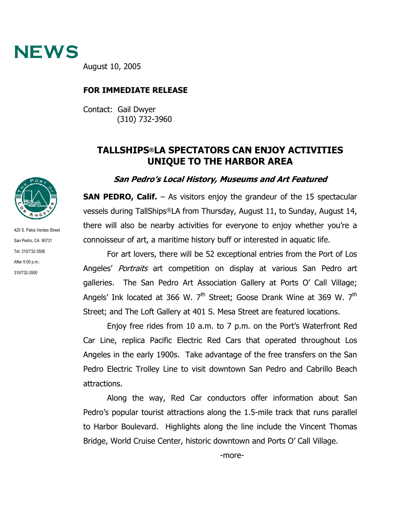

August 10, 2005

## **FOR IMMEDIATE RELEASE**

Contact: Gail Dwyer (310) 732-3960

## **TALLSHIPS®LA SPECTATORS CAN ENJOY ACTIVITIES UNIQUE TO THE HARBOR AREA**

## **San Pedro's Local History, Museums and Art Featured**

**SAN PEDRO, Calif.** – As visitors enjoy the grandeur of the 15 spectacular vessels during TallShips®LA from Thursday, August 11, to Sunday, August 14, there will also be nearby activities for everyone to enjoy whether you're a connoisseur of art, a maritime history buff or interested in aquatic life.

For art lovers, there will be 52 exceptional entries from the Port of Los Angeles' Portraits art competition on display at various San Pedro art galleries. The San Pedro Art Association Gallery at Ports O' Call Village; Angels' Ink located at 366 W. 7<sup>th</sup> Street; Goose Drank Wine at 369 W. 7<sup>th</sup> Street; and The Loft Gallery at 401 S. Mesa Street are featured locations.

Enjoy free rides from 10 a.m. to 7 p.m. on the Port's Waterfront Red Car Line, replica Pacific Electric Red Cars that operated throughout Los Angeles in the early 1900s. Take advantage of the free transfers on the San Pedro Electric Trolley Line to visit downtown San Pedro and Cabrillo Beach attractions.

Along the way, Red Car conductors offer information about San Pedro's popular tourist attractions along the 1.5-mile track that runs parallel to Harbor Boulevard. Highlights along the line include the Vincent Thomas Bridge, World Cruise Center, historic downtown and Ports O' Call Village.



425 S. Palos Verdes Street San Pedro, CA 90731 Tel: 310/732-3508 After 5:00 p.m.: 310/732-3500